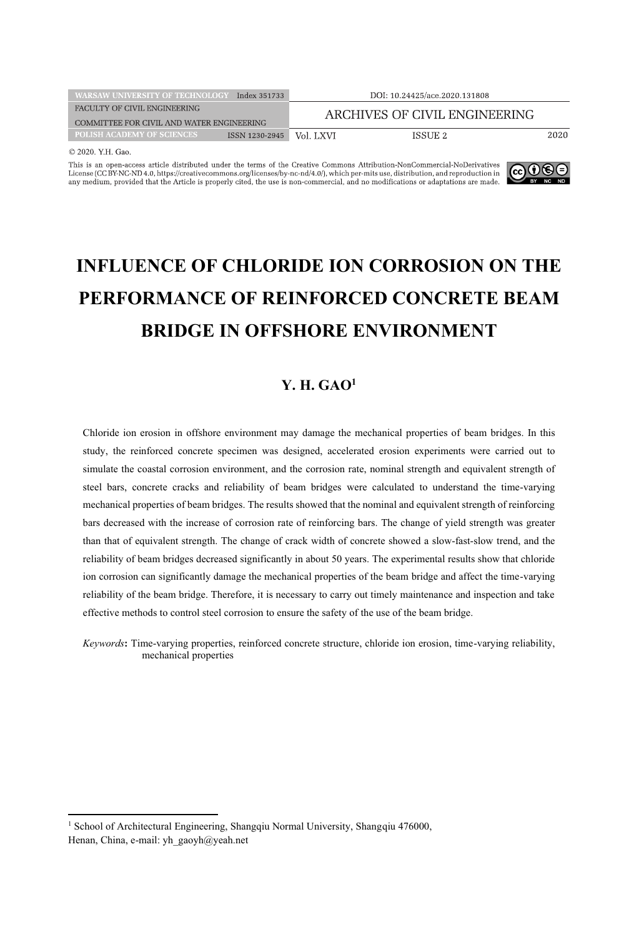| <b>WARSAW UNIVERSITY OF TECHNOLOGY</b>    | Index 351733   |                               | DOI: 10.24425/ace.2020.131808 |      |
|-------------------------------------------|----------------|-------------------------------|-------------------------------|------|
| FACULTY OF CIVIL ENGINEERING              |                | ARCHIVES OF CIVIL ENGINEERING |                               |      |
| COMMITTEE FOR CIVIL AND WATER ENGINEERING |                |                               |                               |      |
| POLISH ACADEMY OF SCIENCES                | ISSN 1230-2945 | Vol. LXVI                     | ISSUE 2                       | 2020 |
| $\sim$ 0.000 XIII $\sim$                  |                |                               |                               |      |

© 2020. Y.H. Gao

This is an open-access article distributed under the terms of the Creative Commons Attribution-NonCommercial-NoDerivatives License (CC BY-NC-ND 4.0, https://creativecommons.org/licenses/by-nc-nd/4.0/), which per-mits use, distribution, and reproduction in any medium, provided that the Article is properly cited, the use is non-commercial, and n



# **INFLUENCE OF CHLORIDE ION CORROSION ON THE PERFORMANCE OF REINFORCED CONCRETE BEAM BRIDGE IN OFFSHORE ENVIRONMENT**

# **Y. H. GAO1**

Chloride ion erosion in offshore environment may damage the mechanical properties of beam bridges. In this study, the reinforced concrete specimen was designed, accelerated erosion experiments were carried out to simulate the coastal corrosion environment, and the corrosion rate, nominal strength and equivalent strength of steel bars, concrete cracks and reliability of beam bridges were calculated to understand the time-varying mechanical properties of beam bridges. The results showed that the nominal and equivalent strength of reinforcing bars decreased with the increase of corrosion rate of reinforcing bars. The change of yield strength was greater than that of equivalent strength. The change of crack width of concrete showed a slow-fast-slow trend, and the reliability of beam bridges decreased significantly in about 50 years. The experimental results show that chloride ion corrosion can significantly damage the mechanical properties of the beam bridge and affect the time-varying reliability of the beam bridge. Therefore, it is necessary to carry out timely maintenance and inspection and take effective methods to control steel corrosion to ensure the safety of the use of the beam bridge.

*Keywords***:** Time-varying properties, reinforced concrete structure, chloride ion erosion, time-varying reliability, mechanical properties

<sup>&</sup>lt;sup>1</sup> School of Architectural Engineering, Shangqiu Normal University, Shangqiu 476000, Henan, China, e-mail: yh\_gaoyh@yeah.net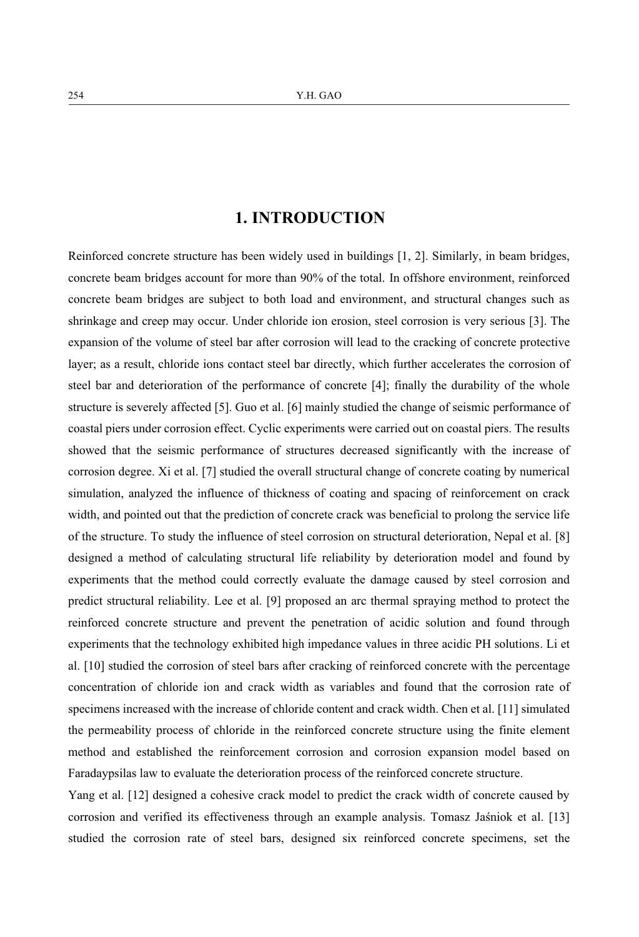# **1. INTRODUCTION**

Reinforced concrete structure has been widely used in buildings [1, 2]. Similarly, in beam bridges, concrete beam bridges account for more than 90% of the total. In offshore environment, reinforced concrete beam bridges are subject to both load and environment, and structural changes such as shrinkage and creep may occur. Under chloride ion erosion, steel corrosion is very serious [3]. The expansion of the volume of steel bar after corrosion will lead to the cracking of concrete protective layer; as a result, chloride ions contact steel bar directly, which further accelerates the corrosion of steel bar and deterioration of the performance of concrete [4]; finally the durability of the whole structure is severely affected [5]. Guo et al. [6] mainly studied the change of seismic performance of coastal piers under corrosion effect. Cyclic experiments were carried out on coastal piers. The results showed that the seismic performance of structures decreased significantly with the increase of corrosion degree. Xi et al. [7] studied the overall structural change of concrete coating by numerical simulation, analyzed the influence of thickness of coating and spacing of reinforcement on crack width, and pointed out that the prediction of concrete crack was beneficial to prolong the service life of the structure. To study the influence of steel corrosion on structural deterioration, Nepal et al. [8] designed a method of calculating structural life reliability by deterioration model and found by experiments that the method could correctly evaluate the damage caused by steel corrosion and predict structural reliability. Lee et al. [9] proposed an arc thermal spraying method to protect the reinforced concrete structure and prevent the penetration of acidic solution and found through experiments that the technology exhibited high impedance values in three acidic PH solutions. Li et al. [10] studied the corrosion of steel bars after cracking of reinforced concrete with the percentage concentration of chloride ion and crack width as variables and found that the corrosion rate of specimens increased with the increase of chloride content and crack width. Chen et al. [11] simulated the permeability process of chloride in the reinforced concrete structure using the finite element method and established the reinforcement corrosion and corrosion expansion model based on Faradaypsilas law to evaluate the deterioration process of the reinforced concrete structure.

Yang et al. [12] designed a cohesive crack model to predict the crack width of concrete caused by corrosion and verified its effectiveness through an example analysis. Tomasz Jaśniok et al. [13] studied the corrosion rate of steel bars, designed six reinforced concrete specimens, set the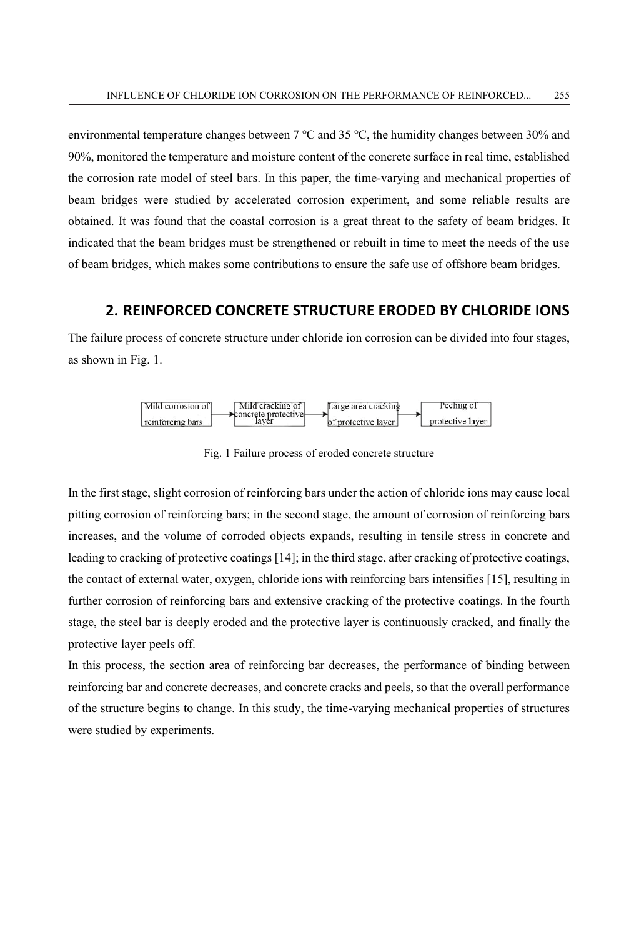environmental temperature changes between 7 ℃ and 35 ℃, the humidity changes between 30% and 90%, monitored the temperature and moisture content of the concrete surface in real time, established the corrosion rate model of steel bars. In this paper, the time-varying and mechanical properties of beam bridges were studied by accelerated corrosion experiment, and some reliable results are obtained. It was found that the coastal corrosion is a great threat to the safety of beam bridges. It indicated that the beam bridges must be strengthened or rebuilt in time to meet the needs of the use of beam bridges, which makes some contributions to ensure the safe use of offshore beam bridges.

### **2. REINFORCED CONCRETE STRUCTURE ERODED BY CHLORIDE IONS**

The failure process of concrete structure under chloride ion corrosion can be divided into four stages, as shown in Fig. 1.



Fig. 1 Failure process of eroded concrete structure

In the first stage, slight corrosion of reinforcing bars under the action of chloride ions may cause local pitting corrosion of reinforcing bars; in the second stage, the amount of corrosion of reinforcing bars increases, and the volume of corroded objects expands, resulting in tensile stress in concrete and leading to cracking of protective coatings [14]; in the third stage, after cracking of protective coatings, the contact of external water, oxygen, chloride ions with reinforcing bars intensifies [15], resulting in further corrosion of reinforcing bars and extensive cracking of the protective coatings. In the fourth stage, the steel bar is deeply eroded and the protective layer is continuously cracked, and finally the protective layer peels off.

In this process, the section area of reinforcing bar decreases, the performance of binding between reinforcing bar and concrete decreases, and concrete cracks and peels, so that the overall performance of the structure begins to change. In this study, the time-varying mechanical properties of structures were studied by experiments.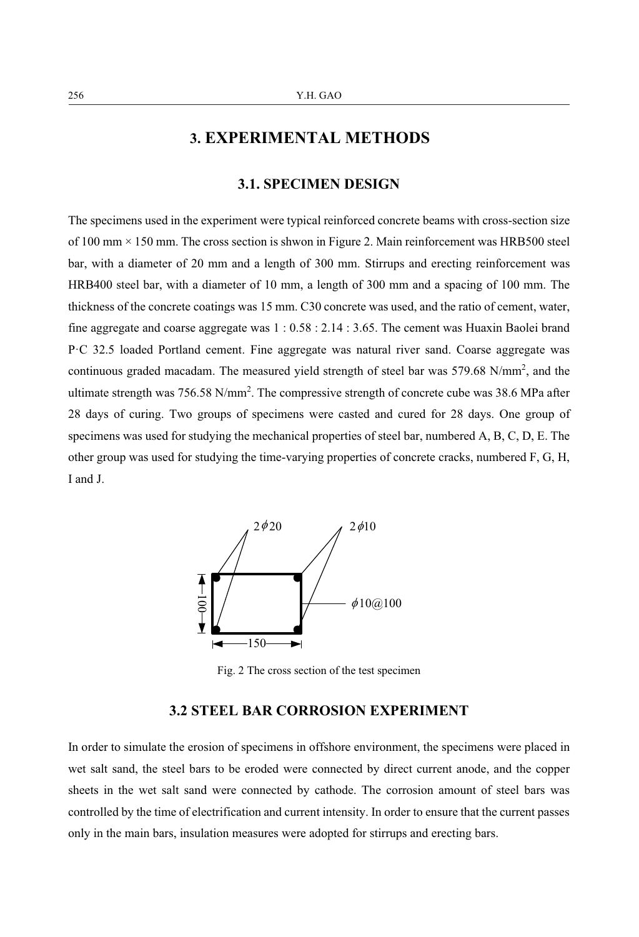# **3. EXPERIMENTAL METHODS**

### **3.1. SPECIMEN DESIGN**

The specimens used in the experiment were typical reinforced concrete beams with cross-section size of 100 mm × 150 mm. The cross section is shwon in Figure 2. Main reinforcement was HRB500 steel bar, with a diameter of 20 mm and a length of 300 mm. Stirrups and erecting reinforcement was HRB400 steel bar, with a diameter of 10 mm, a length of 300 mm and a spacing of 100 mm. The thickness of the concrete coatings was 15 mm. C30 concrete was used, and the ratio of cement, water, fine aggregate and coarse aggregate was 1 : 0.58 : 2.14 : 3.65. The cement was Huaxin Baolei brand P·C 32.5 loaded Portland cement. Fine aggregate was natural river sand. Coarse aggregate was continuous graded macadam. The measured yield strength of steel bar was 579.68 N/mm<sup>2</sup>, and the ultimate strength was 756.58 N/mm<sup>2</sup>. The compressive strength of concrete cube was 38.6 MPa after 28 days of curing. Two groups of specimens were casted and cured for 28 days. One group of specimens was used for studying the mechanical properties of steel bar, numbered A, B, C, D, E. The other group was used for studying the time-varying properties of concrete cracks, numbered F, G, H, I and J.



Fig. 2 The cross section of the test specimen

### **3.2 STEEL BAR CORROSION EXPERIMENT**

In order to simulate the erosion of specimens in offshore environment, the specimens were placed in wet salt sand, the steel bars to be eroded were connected by direct current anode, and the copper sheets in the wet salt sand were connected by cathode. The corrosion amount of steel bars was controlled by the time of electrification and current intensity. In order to ensure that the current passes only in the main bars, insulation measures were adopted for stirrups and erecting bars.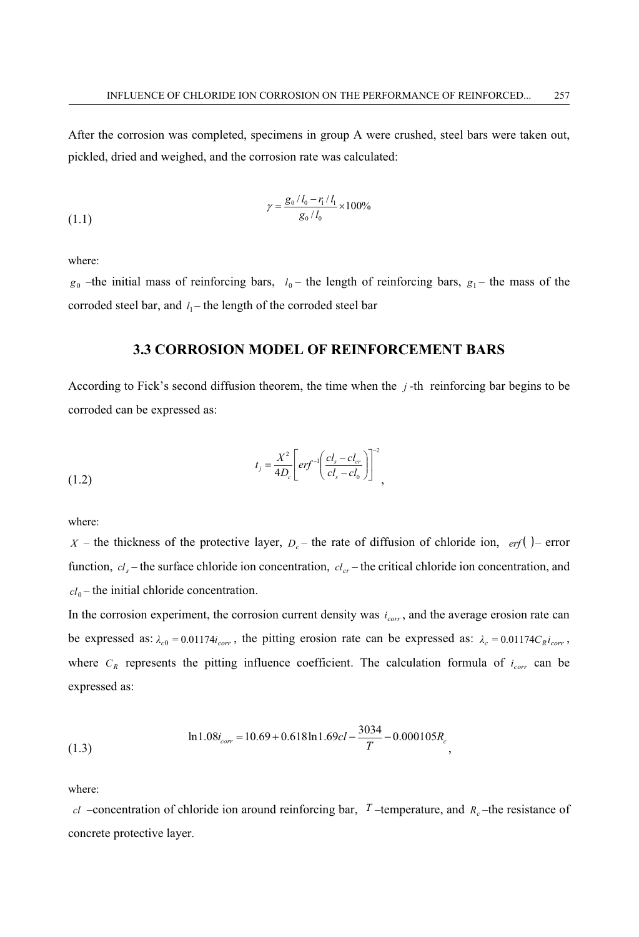After the corrosion was completed, specimens in group A were crushed, steel bars were taken out, pickled, dried and weighed, and the corrosion rate was calculated:

(1.1) 
$$
\gamma = \frac{g_0 / l_0 - r_1 / l_1}{g_0 / l_0} \times 100\%
$$

where:

 $g_0$  –the initial mass of reinforcing bars,  $l_0$  – the length of reinforcing bars,  $g_1$  – the mass of the corroded steel bar, and  $l_1$  – the length of the corroded steel bar

### **3.3 CORROSION MODEL OF REINFORCEMENT BARS**

According to Fick's second diffusion theorem, the time when the *j* -th reinforcing bar begins to be corroded can be expressed as:

(1.2) 
$$
t_{j} = \frac{X^{2}}{4D_{c}} \left[ erf^{-1} \left( \frac{cl_{s} - cl_{cr}}{cl_{s} - cl_{0}} \right) \right]^{-2},
$$

where:

*X* – the thickness of the protective layer,  $D_c$  – the rate of diffusion of chloride ion, *erf* () – error function,  $c_l$  – the surface chloride ion concentration,  $c_l$  – the critical chloride ion concentration, and  $cl_0$  – the initial chloride concentration.

In the corrosion experiment, the corrosion current density was  $i_{corr}$ , and the average erosion rate can be expressed as:  $\lambda_c = 0.01174i_{corr}$ , the pitting erosion rate can be expressed as:  $\lambda_c = 0.01174C_Ri_{corr}$ , where  $C_R$  represents the pitting influence coefficient. The calculation formula of  $i_{corr}$  can be expressed as:

$$
\ln 1.08i_{corr} = 10.69 + 0.618 \ln 1.69cl - \frac{3034}{T} - 0.000105R_c
$$
\n(1.3)

where:

*cl* –concentration of chloride ion around reinforcing bar,  $T$  –temperature, and  $R_c$  –the resistance of concrete protective layer.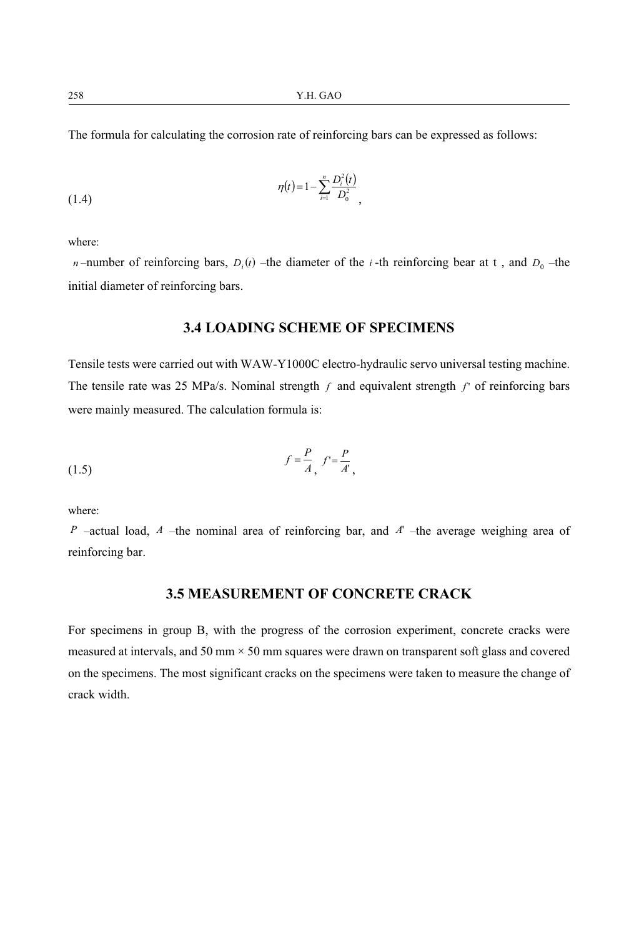258 Y.H. GAO

The formula for calculating the corrosion rate of reinforcing bars can be expressed as follows:

(1.4) 
$$
\eta(t) = 1 - \sum_{i=1}^{n} \frac{D_i^2(t)}{D_0^2},
$$

where:

*n* –number of reinforcing bars,  $D_i(t)$  –the diameter of the *i* -th reinforcing bear at t, and  $D_0$  –the initial diameter of reinforcing bars.

### **3.4 LOADING SCHEME OF SPECIMENS**

Tensile tests were carried out with WAW-Y1000C electro-hydraulic servo universal testing machine. The tensile rate was 25 MPa/s. Nominal strength *f* and equivalent strength *f* ' of reinforcing bars were mainly measured. The calculation formula is:

$$
f = \frac{P}{A}, \ f = \frac{P}{A'},
$$

where:

*P* –actual load, *A* –the nominal area of reinforcing bar, and *A*' –the average weighing area of reinforcing bar.

### **3.5 MEASUREMENT OF CONCRETE CRACK**

For specimens in group B, with the progress of the corrosion experiment, concrete cracks were measured at intervals, and 50 mm  $\times$  50 mm squares were drawn on transparent soft glass and covered on the specimens. The most significant cracks on the specimens were taken to measure the change of crack width.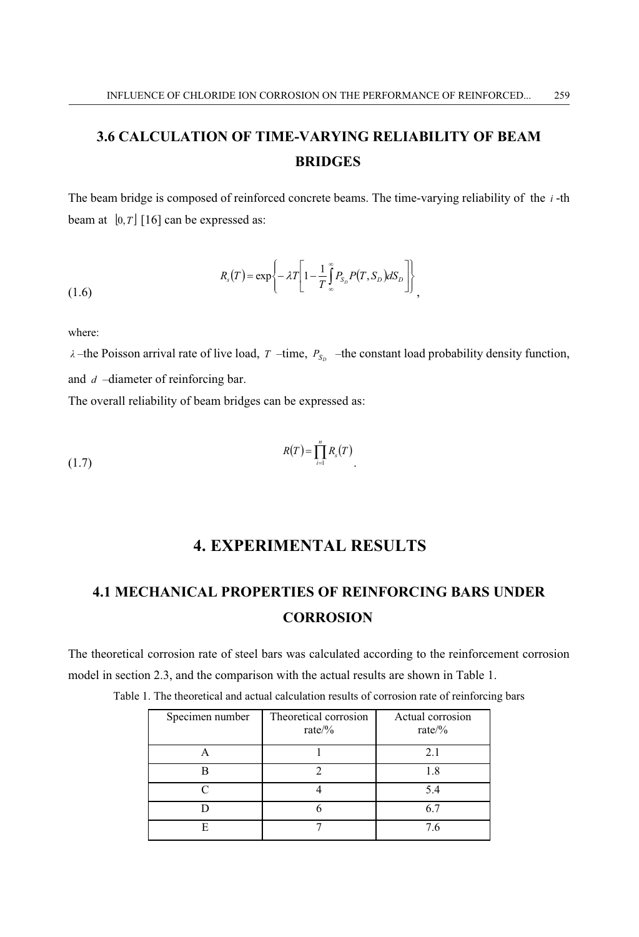# **3.6 CALCULATION OF TIME-VARYING RELIABILITY OF BEAM BRIDGES**

The beam bridge is composed of reinforced concrete beams. The time-varying reliability of the *i* -th beam at  $[0, T]$  [16] can be expressed as:

$$
R_s(T) = \exp\left\{-\lambda T \left[1 - \frac{1}{T} \int_{\infty}^{\infty} P(s, S_D) dS_D\right]\right\},
$$
\n(1.6)

where:

*λ* –the Poisson arrival rate of live load, *T* –time,  $P_{S_p}$  –the constant load probability density function, and *d* –diameter of reinforcing bar.

The overall reliability of beam bridges can be expressed as:

$$
R(T) = \prod_{i=1}^{n} R_s(T)
$$

# **4. EXPERIMENTAL RESULTS**

# **4.1 MECHANICAL PROPERTIES OF REINFORCING BARS UNDER CORROSION**

The theoretical corrosion rate of steel bars was calculated according to the reinforcement corrosion model in section 2.3, and the comparison with the actual results are shown in Table 1.

| Specimen number | Theoretical corrosion<br>rate/% | Actual corrosion<br>rate/ $\%$ |
|-----------------|---------------------------------|--------------------------------|
|                 |                                 | 2.1                            |
|                 |                                 | 1.8                            |
|                 |                                 | 5.4                            |
|                 |                                 | 6.7                            |
| F               |                                 | 7.6                            |

Table 1. The theoretical and actual calculation results of corrosion rate of reinforcing bars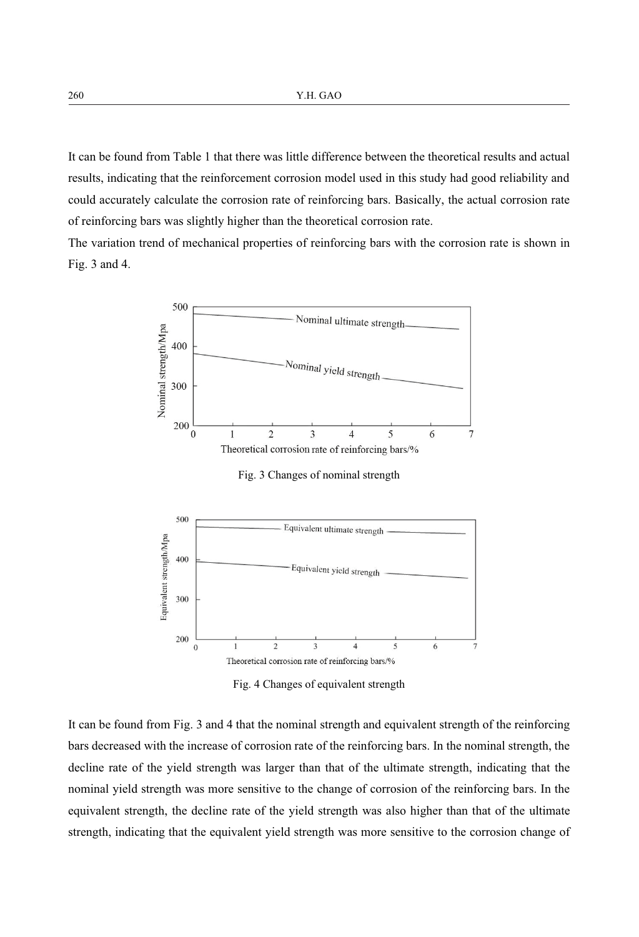It can be found from Table 1 that there was little difference between the theoretical results and actual results, indicating that the reinforcement corrosion model used in this study had good reliability and could accurately calculate the corrosion rate of reinforcing bars. Basically, the actual corrosion rate of reinforcing bars was slightly higher than the theoretical corrosion rate.

The variation trend of mechanical properties of reinforcing bars with the corrosion rate is shown in Fig. 3 and 4.



Fig. 4 Changes of equivalent strength

It can be found from Fig. 3 and 4 that the nominal strength and equivalent strength of the reinforcing bars decreased with the increase of corrosion rate of the reinforcing bars. In the nominal strength, the decline rate of the yield strength was larger than that of the ultimate strength, indicating that the nominal yield strength was more sensitive to the change of corrosion of the reinforcing bars. In the equivalent strength, the decline rate of the yield strength was also higher than that of the ultimate strength, indicating that the equivalent yield strength was more sensitive to the corrosion change of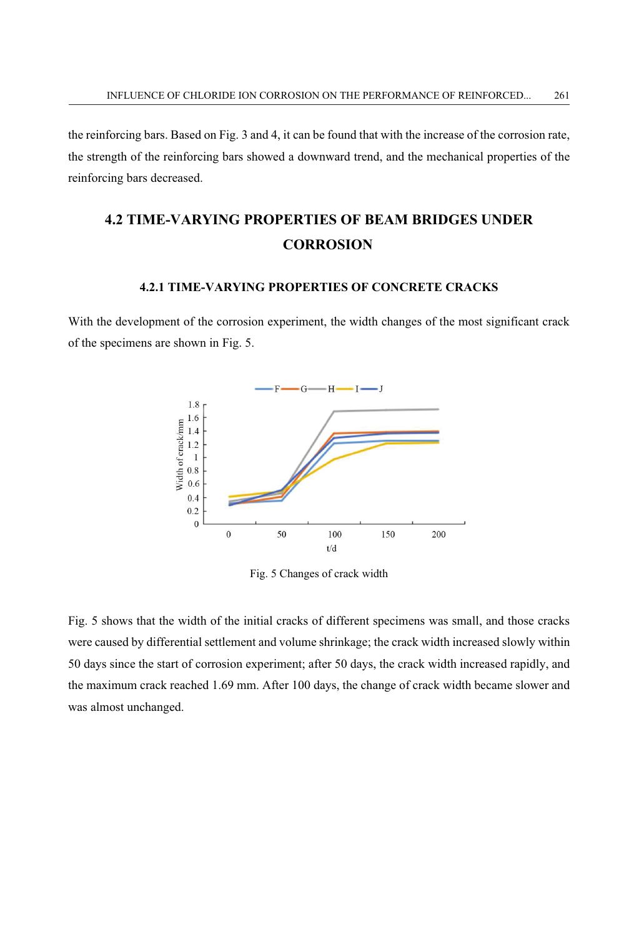the reinforcing bars. Based on Fig. 3 and 4, it can be found that with the increase of the corrosion rate, the strength of the reinforcing bars showed a downward trend, and the mechanical properties of the reinforcing bars decreased.

# **4.2 TIME-VARYING PROPERTIES OF BEAM BRIDGES UNDER CORROSION**

#### **4.2.1 TIME-VARYING PROPERTIES OF CONCRETE CRACKS**

With the development of the corrosion experiment, the width changes of the most significant crack of the specimens are shown in Fig. 5.



Fig. 5 Changes of crack width

Fig. 5 shows that the width of the initial cracks of different specimens was small, and those cracks were caused by differential settlement and volume shrinkage; the crack width increased slowly within 50 days since the start of corrosion experiment; after 50 days, the crack width increased rapidly, and the maximum crack reached 1.69 mm. After 100 days, the change of crack width became slower and was almost unchanged.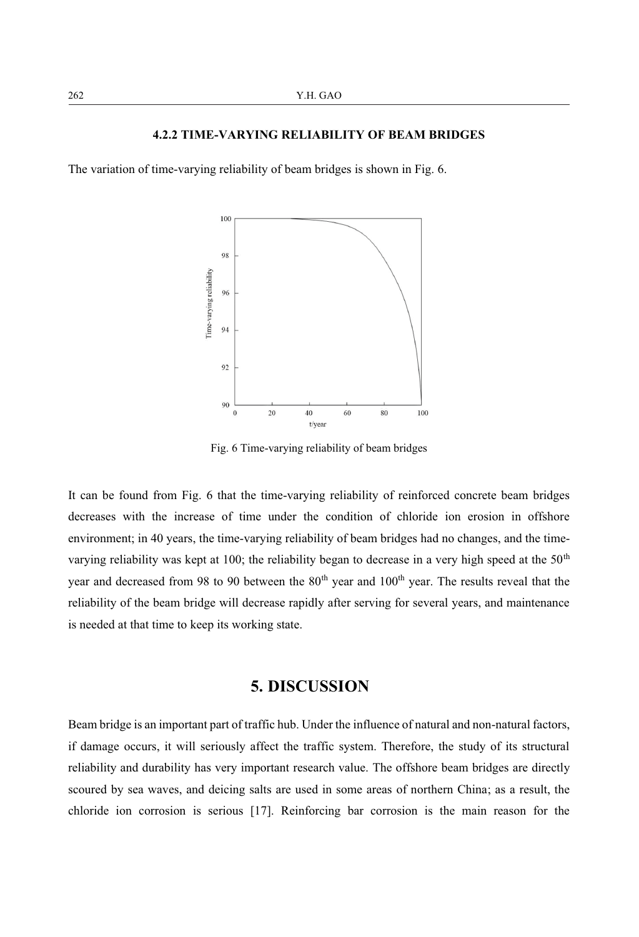#### **4.2.2 TIME-VARYING RELIABILITY OF BEAM BRIDGES**

The variation of time-varying reliability of beam bridges is shown in Fig. 6.



Fig. 6 Time-varying reliability of beam bridges

It can be found from Fig. 6 that the time-varying reliability of reinforced concrete beam bridges decreases with the increase of time under the condition of chloride ion erosion in offshore environment; in 40 years, the time-varying reliability of beam bridges had no changes, and the timevarying reliability was kept at 100; the reliability began to decrease in a very high speed at the  $50<sup>th</sup>$ year and decreased from 98 to 90 between the 80<sup>th</sup> year and 100<sup>th</sup> year. The results reveal that the reliability of the beam bridge will decrease rapidly after serving for several years, and maintenance is needed at that time to keep its working state.

## **5. DISCUSSION**

Beam bridge is an important part of traffic hub. Under the influence of natural and non-natural factors, if damage occurs, it will seriously affect the traffic system. Therefore, the study of its structural reliability and durability has very important research value. The offshore beam bridges are directly scoured by sea waves, and deicing salts are used in some areas of northern China; as a result, the chloride ion corrosion is serious [17]. Reinforcing bar corrosion is the main reason for the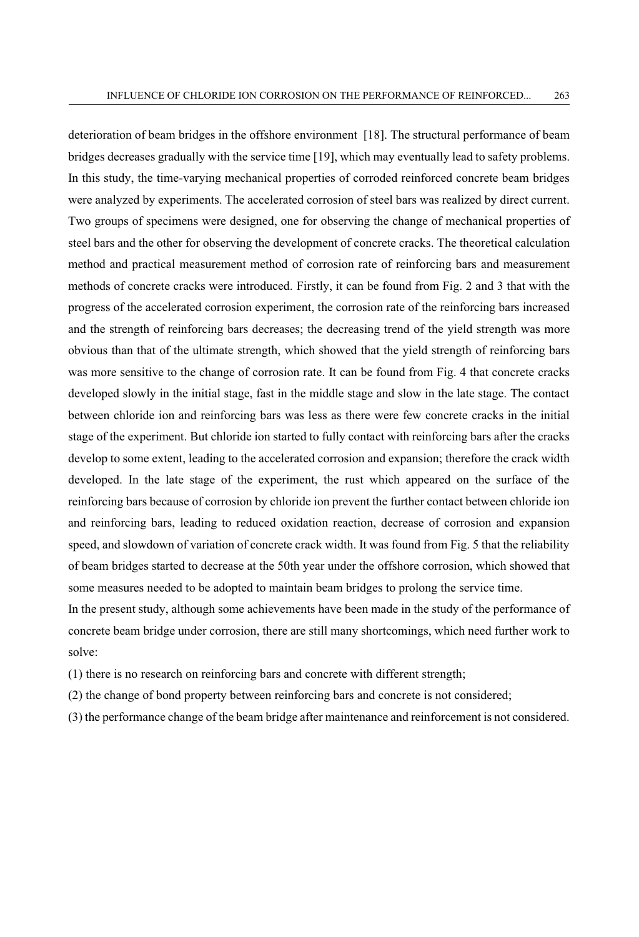deterioration of beam bridges in the offshore environment [18]. The structural performance of beam bridges decreases gradually with the service time [19], which may eventually lead to safety problems. In this study, the time-varying mechanical properties of corroded reinforced concrete beam bridges were analyzed by experiments. The accelerated corrosion of steel bars was realized by direct current. Two groups of specimens were designed, one for observing the change of mechanical properties of steel bars and the other for observing the development of concrete cracks. The theoretical calculation method and practical measurement method of corrosion rate of reinforcing bars and measurement methods of concrete cracks were introduced. Firstly, it can be found from Fig. 2 and 3 that with the progress of the accelerated corrosion experiment, the corrosion rate of the reinforcing bars increased and the strength of reinforcing bars decreases; the decreasing trend of the yield strength was more obvious than that of the ultimate strength, which showed that the yield strength of reinforcing bars was more sensitive to the change of corrosion rate. It can be found from Fig. 4 that concrete cracks developed slowly in the initial stage, fast in the middle stage and slow in the late stage. The contact between chloride ion and reinforcing bars was less as there were few concrete cracks in the initial stage of the experiment. But chloride ion started to fully contact with reinforcing bars after the cracks develop to some extent, leading to the accelerated corrosion and expansion; therefore the crack width developed. In the late stage of the experiment, the rust which appeared on the surface of the reinforcing bars because of corrosion by chloride ion prevent the further contact between chloride ion and reinforcing bars, leading to reduced oxidation reaction, decrease of corrosion and expansion speed, and slowdown of variation of concrete crack width. It was found from Fig. 5 that the reliability of beam bridges started to decrease at the 50th year under the offshore corrosion, which showed that some measures needed to be adopted to maintain beam bridges to prolong the service time.

In the present study, although some achievements have been made in the study of the performance of concrete beam bridge under corrosion, there are still many shortcomings, which need further work to solve:

(1) there is no research on reinforcing bars and concrete with different strength;

(2) the change of bond property between reinforcing bars and concrete is not considered;

(3) the performance change of the beam bridge after maintenance and reinforcement is not considered.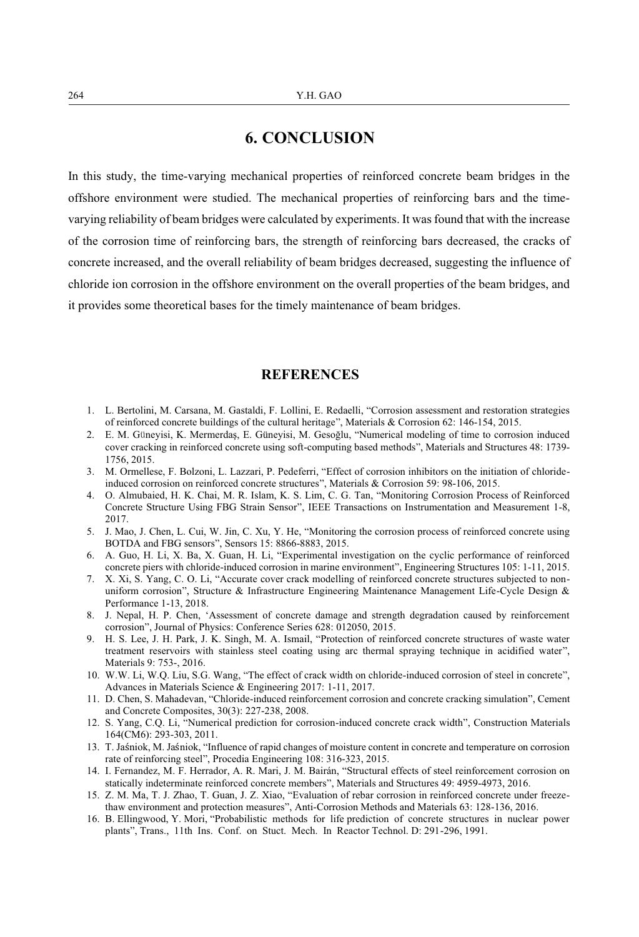# **6. CONCLUSION**

In this study, the time-varying mechanical properties of reinforced concrete beam bridges in the offshore environment were studied. The mechanical properties of reinforcing bars and the timevarying reliability of beam bridges were calculated by experiments. It was found that with the increase of the corrosion time of reinforcing bars, the strength of reinforcing bars decreased, the cracks of concrete increased, and the overall reliability of beam bridges decreased, suggesting the influence of chloride ion corrosion in the offshore environment on the overall properties of the beam bridges, and it provides some theoretical bases for the timely maintenance of beam bridges.

### **REFERENCES**

- 1. L. Bertolini, M. Carsana, M. Gastaldi, F. Lollini, E. Redaelli, "Corrosion assessment and restoration strategies of reinforced concrete buildings of the cultural heritage", Materials & Corrosion 62: 146-154, 2015.
- 2. E. M. Guneyisi, K. Mermerdaş, E. Güneyisi, M. Gesoğlu, "Numerical modeling of time to corrosion induced cover cracking in reinforced concrete using soft-computing based methods", Materials and Structures 48: 1739- 1756, 2015.
- 3. M. Ormellese, F. Bolzoni, L. Lazzari, P. Pedeferri, "Effect of corrosion inhibitors on the initiation of chlorideinduced corrosion on reinforced concrete structures", Materials & Corrosion 59: 98-106, 2015.
- 4. O. Almubaied, H. K. Chai, M. R. Islam, K. S. Lim, C. G. Tan, "Monitoring Corrosion Process of Reinforced Concrete Structure Using FBG Strain Sensor", IEEE Transactions on Instrumentation and Measurement 1-8, 2017.
- 5. J. Mao, J. Chen, L. Cui, W. Jin, C. Xu, Y. He, "Monitoring the corrosion process of reinforced concrete using BOTDA and FBG sensors", Sensors 15: 8866-8883, 2015.
- 6. A. Guo, H. Li, X. Ba, X. Guan, H. Li, "Experimental investigation on the cyclic performance of reinforced concrete piers with chloride-induced corrosion in marine environment", Engineering Structures 105: 1-11, 2015.
- 7. X. Xi, S. Yang, C. O. Li, "Accurate cover crack modelling of reinforced concrete structures subjected to nonuniform corrosion", Structure & Infrastructure Engineering Maintenance Management Life-Cycle Design & Performance 1-13, 2018.
- 8. J. Nepal, H. P. Chen, 'Assessment of concrete damage and strength degradation caused by reinforcement corrosion", Journal of Physics: Conference Series 628: 012050, 2015.
- 9. H. S. Lee, J. H. Park, J. K. Singh, M. A. Ismail, "Protection of reinforced concrete structures of waste water treatment reservoirs with stainless steel coating using arc thermal spraying technique in acidified water", Materials 9: 753-, 2016.
- 10. W.W. Li, W.Q. Liu, S.G. Wang, "The effect of crack width on chloride-induced corrosion of steel in concrete", Advances in Materials Science & Engineering 2017: 1-11, 2017.
- 11. D. Chen, S. Mahadevan, "Chloride-induced reinforcement corrosion and concrete cracking simulation", Cement and Concrete Composites, 30(3): 227-238, 2008.
- 12. S. Yang, C.Q. Li, "Numerical prediction for corrosion-induced concrete crack width", Construction Materials 164(CM6): 293-303, 2011.
- 13. T. Jaäniok, M. Jaäniok, "Influence of rapid changes of moisture content in concrete and temperature on corrosion rate of reinforcing steel", Procedia Engineering 108: 316-323, 2015.
- 14. I. Fernandez, M. F. Herrador, A. R. Mari, J. M. Bairán, "Structural effects of steel reinforcement corrosion on statically indeterminate reinforced concrete members", Materials and Structures 49: 4959-4973, 2016.
- 15. Z. M. Ma, T. J. Zhao, T. Guan, J. Z. Xiao, "Evaluation of rebar corrosion in reinforced concrete under freezethaw environment and protection measures", Anti-Corrosion Methods and Materials 63: 128-136, 2016.
- 16. B. Ellingwood, Y. Mori, "Probabilistic methods for life prediction of concrete structures in nuclear power plants", Trans., 11th Ins. Conf. on Stuct. Mech. In Reactor Technol. D: 291-296, 1991.